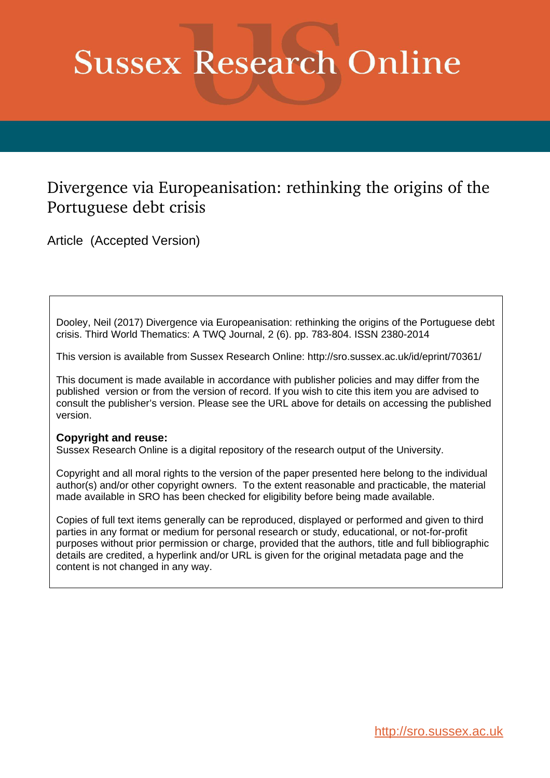# **Sussex Research Online**

# Divergence via Europeanisation: rethinking the origins of the Portuguese debt crisis

Article (Accepted Version)

Dooley, Neil (2017) Divergence via Europeanisation: rethinking the origins of the Portuguese debt crisis. Third World Thematics: A TWQ Journal, 2 (6). pp. 783-804. ISSN 2380-2014

This version is available from Sussex Research Online: http://sro.sussex.ac.uk/id/eprint/70361/

This document is made available in accordance with publisher policies and may differ from the published version or from the version of record. If you wish to cite this item you are advised to consult the publisher's version. Please see the URL above for details on accessing the published version.

# **Copyright and reuse:**

Sussex Research Online is a digital repository of the research output of the University.

Copyright and all moral rights to the version of the paper presented here belong to the individual author(s) and/or other copyright owners. To the extent reasonable and practicable, the material made available in SRO has been checked for eligibility before being made available.

Copies of full text items generally can be reproduced, displayed or performed and given to third parties in any format or medium for personal research or study, educational, or not-for-profit purposes without prior permission or charge, provided that the authors, title and full bibliographic details are credited, a hyperlink and/or URL is given for the original metadata page and the content is not changed in any way.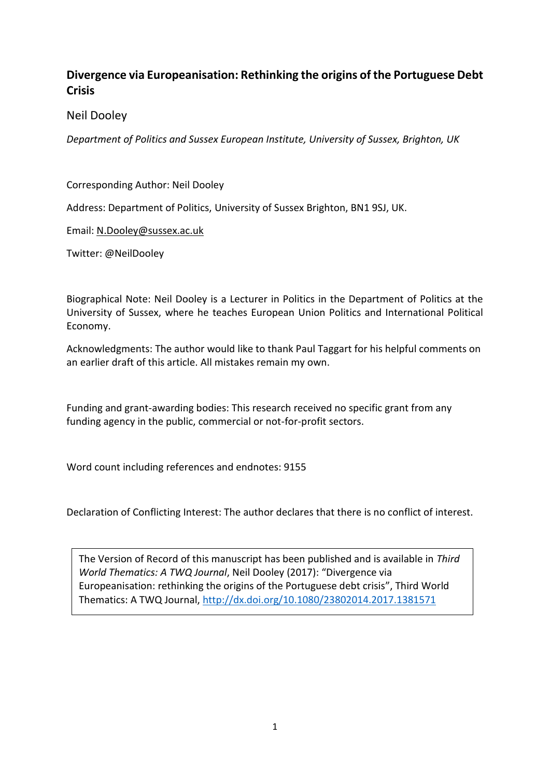# **Divergence via Europeanisation: Rethinking the origins of the Portuguese Debt Crisis**

Neil Dooley

*Department of Politics and Sussex European Institute, University of Sussex, Brighton, UK*

Corresponding Author: Neil Dooley

Address: Department of Politics, University of Sussex Brighton, BN1 9SJ, UK.

Email: [N.Dooley@sussex.ac.uk](mailto:N.Dooley@sussex.ac.uk)

Twitter: @NeilDooley

Biographical Note: Neil Dooley is a Lecturer in Politics in the Department of Politics at the University of Sussex, where he teaches European Union Politics and International Political Economy.

Acknowledgments: The author would like to thank Paul Taggart for his helpful comments on an earlier draft of this article. All mistakes remain my own.

Funding and grant-awarding bodies: This research received no specific grant from any funding agency in the public, commercial or not-for-profit sectors.

Word count including references and endnotes: 9155

Declaration of Conflicting Interest: The author declares that there is no conflict of interest.

The Version of Record of this manuscript has been published and is available in *Third World Thematics: A TWQ Journal*, Neil Dooley (2017): "Divergence via Europeanisation: rethinking the origins of the Portuguese debt crisis", Third World Thematics: A TWQ Journal,<http://dx.doi.org/10.1080/23802014.2017.1381571>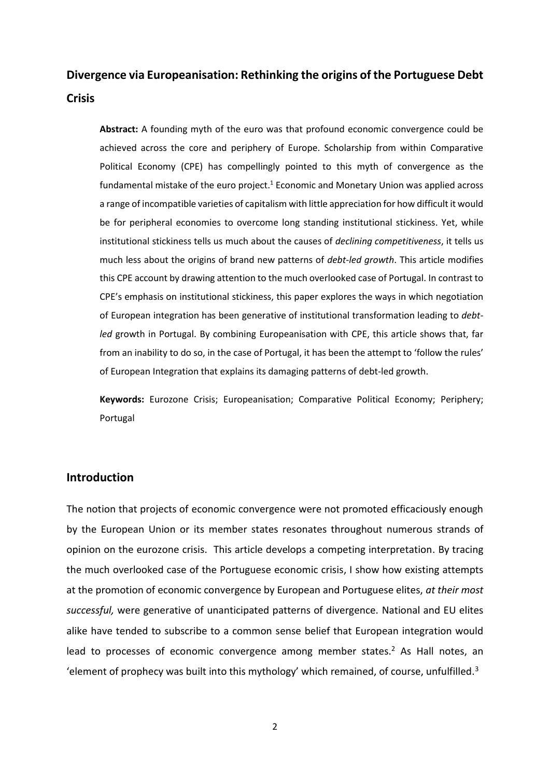# **Divergence via Europeanisation: Rethinking the origins of the Portuguese Debt Crisis**

**Abstract:** A founding myth of the euro was that profound economic convergence could be achieved across the core and periphery of Europe. Scholarship from within Comparative Political Economy (CPE) has compellingly pointed to this myth of convergence as the fundamental mistake of the euro project. <sup>1</sup> Economic and Monetary Union was applied across a range of incompatible varieties of capitalism with little appreciation for how difficult it would be for peripheral economies to overcome long standing institutional stickiness. Yet, while institutional stickiness tells us much about the causes of *declining competitiveness*, it tells us much less about the origins of brand new patterns of *debt-led growth*. This article modifies this CPE account by drawing attention to the much overlooked case of Portugal. In contrast to CPE's emphasis on institutional stickiness, this paper explores the ways in which negotiation of European integration has been generative of institutional transformation leading to *debtled* growth in Portugal. By combining Europeanisation with CPE, this article shows that, far from an inability to do so, in the case of Portugal, it has been the attempt to 'follow the rules' of European Integration that explains its damaging patterns of debt-led growth.

**Keywords:** Eurozone Crisis; Europeanisation; Comparative Political Economy; Periphery; Portugal

# **Introduction**

The notion that projects of economic convergence were not promoted efficaciously enough by the European Union or its member states resonates throughout numerous strands of opinion on the eurozone crisis. This article develops a competing interpretation. By tracing the much overlooked case of the Portuguese economic crisis, I show how existing attempts at the promotion of economic convergence by European and Portuguese elites, *at their most successful,* were generative of unanticipated patterns of divergence. National and EU elites alike have tended to subscribe to a common sense belief that European integration would lead to processes of economic convergence among member states.<sup>2</sup> As Hall notes, an 'element of prophecy was built into this mythology' which remained, of course, unfulfilled.<sup>3</sup>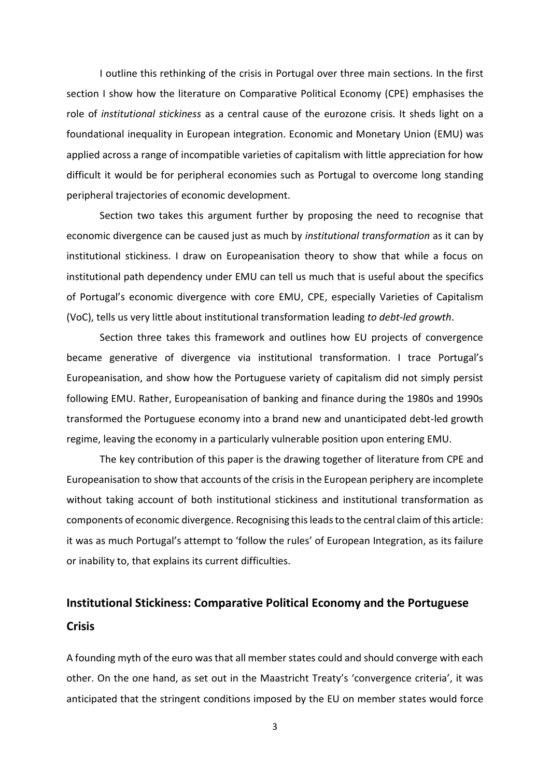I outline this rethinking of the crisis in Portugal over three main sections. In the first section I show how the literature on Comparative Political Economy (CPE) emphasises the role of *institutional stickiness* as a central cause of the eurozone crisis*.* It sheds light on a foundational inequality in European integration. Economic and Monetary Union (EMU) was applied across a range of incompatible varieties of capitalism with little appreciation for how difficult it would be for peripheral economies such as Portugal to overcome long standing peripheral trajectories of economic development.

Section two takes this argument further by proposing the need to recognise that economic divergence can be caused just as much by *institutional transformation* as it can by institutional stickiness. I draw on Europeanisation theory to show that while a focus on institutional path dependency under EMU can tell us much that is useful about the specifics of Portugal's economic divergence with core EMU, CPE, especially Varieties of Capitalism (VoC), tells us very little about institutional transformation leading *to debt-led growth*.

Section three takes this framework and outlines how EU projects of convergence became generative of divergence via institutional transformation. I trace Portugal's Europeanisation, and show how the Portuguese variety of capitalism did not simply persist following EMU. Rather, Europeanisation of banking and finance during the 1980s and 1990s transformed the Portuguese economy into a brand new and unanticipated debt-led growth regime, leaving the economy in a particularly vulnerable position upon entering EMU.

The key contribution of this paper is the drawing together of literature from CPE and Europeanisation to show that accounts of the crisis in the European periphery are incomplete without taking account of both institutional stickiness and institutional transformation as components of economic divergence. Recognising this leads to the central claim of this article: it was as much Portugal's attempt to 'follow the rules' of European Integration, as its failure or inability to, that explains its current difficulties.

# **Institutional Stickiness: Comparative Political Economy and the Portuguese Crisis**

A founding myth of the euro was that all member states could and should converge with each other. On the one hand, as set out in the Maastricht Treaty's 'convergence criteria', it was anticipated that the stringent conditions imposed by the EU on member states would force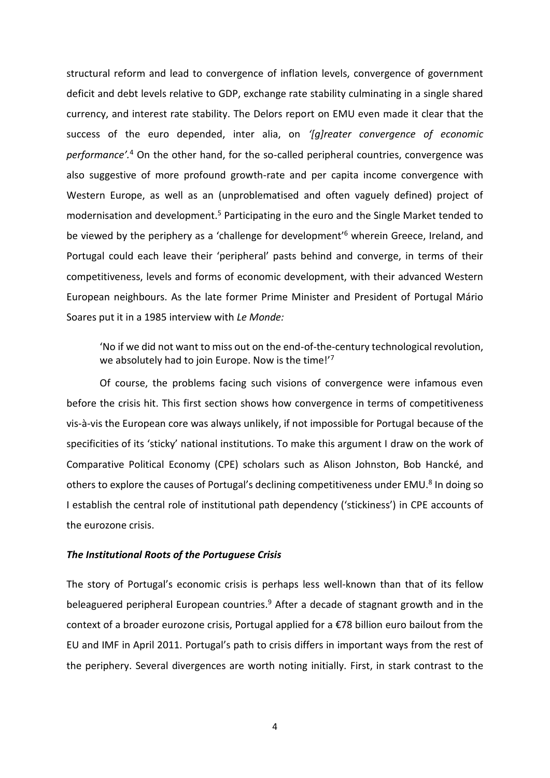structural reform and lead to convergence of inflation levels, convergence of government deficit and debt levels relative to GDP, exchange rate stability culminating in a single shared currency, and interest rate stability. The Delors report on EMU even made it clear that the success of the euro depended, inter alia, on *'[g]reater convergence of economic performance'.*<sup>4</sup> On the other hand, for the so-called peripheral countries, convergence was also suggestive of more profound growth-rate and per capita income convergence with Western Europe, as well as an (unproblematised and often vaguely defined) project of modernisation and development.<sup>5</sup> Participating in the euro and the Single Market tended to be viewed by the periphery as a 'challenge for development'<sup>6</sup> wherein Greece, Ireland, and Portugal could each leave their 'peripheral' pasts behind and converge, in terms of their competitiveness, levels and forms of economic development, with their advanced Western European neighbours. As the late former Prime Minister and President of Portugal Mário Soares put it in a 1985 interview with *Le Monde:*

'No if we did not want to miss out on the end-of-the-century technological revolution, we absolutely had to join Europe. Now is the time!'7

Of course, the problems facing such visions of convergence were infamous even before the crisis hit. This first section shows how convergence in terms of competitiveness vis-à-vis the European core was always unlikely, if not impossible for Portugal because of the specificities of its 'sticky' national institutions. To make this argument I draw on the work of Comparative Political Economy (CPE) scholars such as Alison Johnston, Bob Hancké, and others to explore the causes of Portugal's declining competitiveness under EMU.<sup>8</sup> In doing so I establish the central role of institutional path dependency ('stickiness') in CPE accounts of the eurozone crisis.

#### *The Institutional Roots of the Portuguese Crisis*

The story of Portugal's economic crisis is perhaps less well-known than that of its fellow beleaguered peripheral European countries.<sup>9</sup> After a decade of stagnant growth and in the context of a broader eurozone crisis, Portugal applied for a €78 billion euro bailout from the EU and IMF in April 2011. Portugal's path to crisis differs in important ways from the rest of the periphery. Several divergences are worth noting initially. First, in stark contrast to the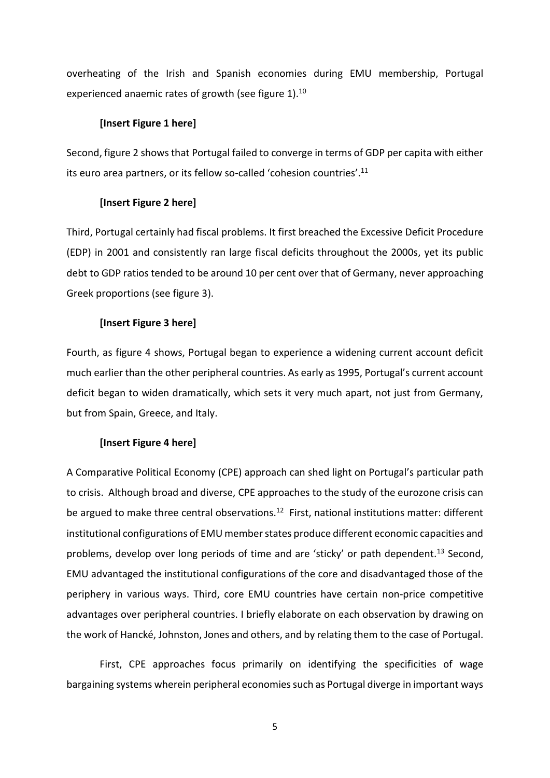overheating of the Irish and Spanish economies during EMU membership, Portugal experienced anaemic rates of growth (see figure 1).<sup>10</sup>

#### **[Insert Figure 1 here]**

Second, figure 2 shows that Portugal failed to converge in terms of GDP per capita with either its euro area partners, or its fellow so-called 'cohesion countries'. 11

## **[Insert Figure 2 here]**

Third, Portugal certainly had fiscal problems. It first breached the Excessive Deficit Procedure (EDP) in 2001 and consistently ran large fiscal deficits throughout the 2000s, yet its public debt to GDP ratios tended to be around 10 per cent over that of Germany, never approaching Greek proportions (see figure 3).

# **[Insert Figure 3 here]**

Fourth, as figure 4 shows, Portugal began to experience a widening current account deficit much earlier than the other peripheral countries. As early as 1995, Portugal's current account deficit began to widen dramatically, which sets it very much apart, not just from Germany, but from Spain, Greece, and Italy.

## **[Insert Figure 4 here]**

A Comparative Political Economy (CPE) approach can shed light on Portugal's particular path to crisis. Although broad and diverse, CPE approaches to the study of the eurozone crisis can be argued to make three central observations.<sup>12</sup> First, national institutions matter: different institutional configurations of EMU member states produce different economic capacities and problems, develop over long periods of time and are 'sticky' or path dependent.<sup>13</sup> Second, EMU advantaged the institutional configurations of the core and disadvantaged those of the periphery in various ways. Third, core EMU countries have certain non-price competitive advantages over peripheral countries. I briefly elaborate on each observation by drawing on the work of Hancké, Johnston, Jones and others, and by relating them to the case of Portugal.

First, CPE approaches focus primarily on identifying the specificities of wage bargaining systems wherein peripheral economies such as Portugal diverge in important ways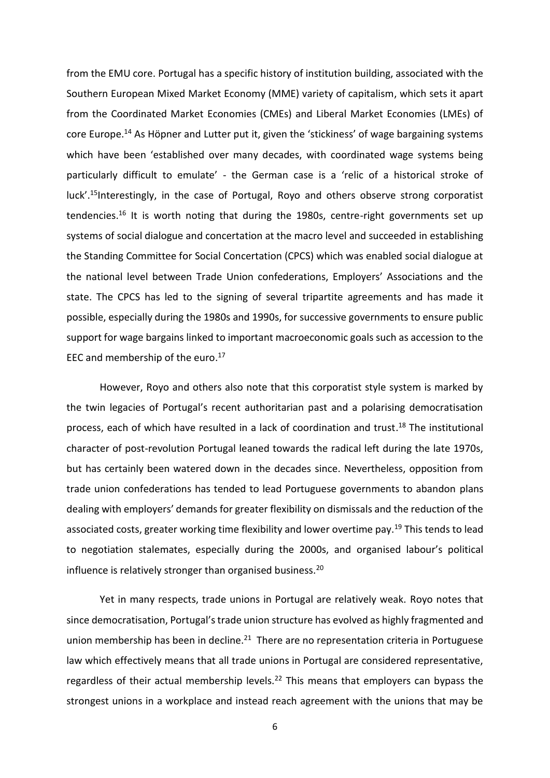from the EMU core. Portugal has a specific history of institution building, associated with the Southern European Mixed Market Economy (MME) variety of capitalism, which sets it apart from the Coordinated Market Economies (CMEs) and Liberal Market Economies (LMEs) of core Europe.<sup>14</sup> As Höpner and Lutter put it, given the 'stickiness' of wage bargaining systems which have been 'established over many decades, with coordinated wage systems being particularly difficult to emulate' - the German case is a 'relic of a historical stroke of luck'.<sup>15</sup>Interestingly, in the case of Portugal, Royo and others observe strong corporatist tendencies.<sup>16</sup> It is worth noting that during the 1980s, centre-right governments set up systems of social dialogue and concertation at the macro level and succeeded in establishing the Standing Committee for Social Concertation (CPCS) which was enabled social dialogue at the national level between Trade Union confederations, Employers' Associations and the state. The CPCS has led to the signing of several tripartite agreements and has made it possible, especially during the 1980s and 1990s, for successive governments to ensure public support for wage bargains linked to important macroeconomic goals such as accession to the EEC and membership of the euro. 17

However, Royo and others also note that this corporatist style system is marked by the twin legacies of Portugal's recent authoritarian past and a polarising democratisation process, each of which have resulted in a lack of coordination and trust. <sup>18</sup> The institutional character of post-revolution Portugal leaned towards the radical left during the late 1970s, but has certainly been watered down in the decades since. Nevertheless, opposition from trade union confederations has tended to lead Portuguese governments to abandon plans dealing with employers' demands for greater flexibility on dismissals and the reduction of the associated costs, greater working time flexibility and lower overtime pay.<sup>19</sup> This tends to lead to negotiation stalemates, especially during the 2000s, and organised labour's political influence is relatively stronger than organised business.<sup>20</sup>

Yet in many respects, trade unions in Portugal are relatively weak. Royo notes that since democratisation, Portugal's trade union structure has evolved as highly fragmented and union membership has been in decline. $21$  There are no representation criteria in Portuguese law which effectively means that all trade unions in Portugal are considered representative, regardless of their actual membership levels.<sup>22</sup> This means that employers can bypass the strongest unions in a workplace and instead reach agreement with the unions that may be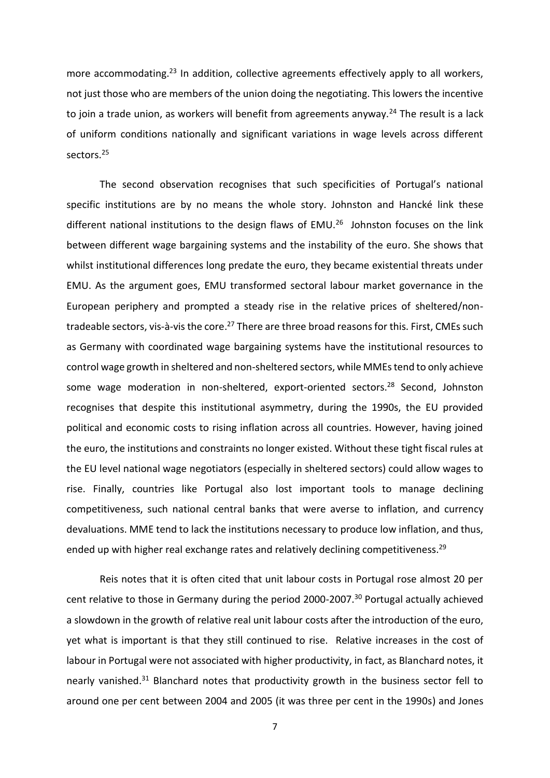more accommodating.<sup>23</sup> In addition, collective agreements effectively apply to all workers, not just those who are members of the union doing the negotiating. This lowers the incentive to join a trade union, as workers will benefit from agreements anyway.<sup>24</sup> The result is a lack of uniform conditions nationally and significant variations in wage levels across different sectors.<sup>25</sup>

The second observation recognises that such specificities of Portugal's national specific institutions are by no means the whole story. Johnston and Hancké link these different national institutions to the design flaws of EMU.<sup>26</sup> Johnston focuses on the link between different wage bargaining systems and the instability of the euro. She shows that whilst institutional differences long predate the euro, they became existential threats under EMU. As the argument goes, EMU transformed sectoral labour market governance in the European periphery and prompted a steady rise in the relative prices of sheltered/nontradeable sectors, vis-à-vis the core.<sup>27</sup> There are three broad reasons for this. First, CMEs such as Germany with coordinated wage bargaining systems have the institutional resources to control wage growth in sheltered and non-sheltered sectors, while MMEs tend to only achieve some wage moderation in non-sheltered, export-oriented sectors.<sup>28</sup> Second, Johnston recognises that despite this institutional asymmetry, during the 1990s, the EU provided political and economic costs to rising inflation across all countries. However, having joined the euro, the institutions and constraints no longer existed. Without these tight fiscal rules at the EU level national wage negotiators (especially in sheltered sectors) could allow wages to rise. Finally, countries like Portugal also lost important tools to manage declining competitiveness, such national central banks that were averse to inflation, and currency devaluations. MME tend to lack the institutions necessary to produce low inflation, and thus, ended up with higher real exchange rates and relatively declining competitiveness.<sup>29</sup>

Reis notes that it is often cited that unit labour costs in Portugal rose almost 20 per cent relative to those in Germany during the period 2000-2007.<sup>30</sup> Portugal actually achieved a slowdown in the growth of relative real unit labour costs after the introduction of the euro, yet what is important is that they still continued to rise. Relative increases in the cost of labour in Portugal were not associated with higher productivity, in fact, as Blanchard notes, it nearly vanished.<sup>31</sup> Blanchard notes that productivity growth in the business sector fell to around one per cent between 2004 and 2005 (it was three per cent in the 1990s) and Jones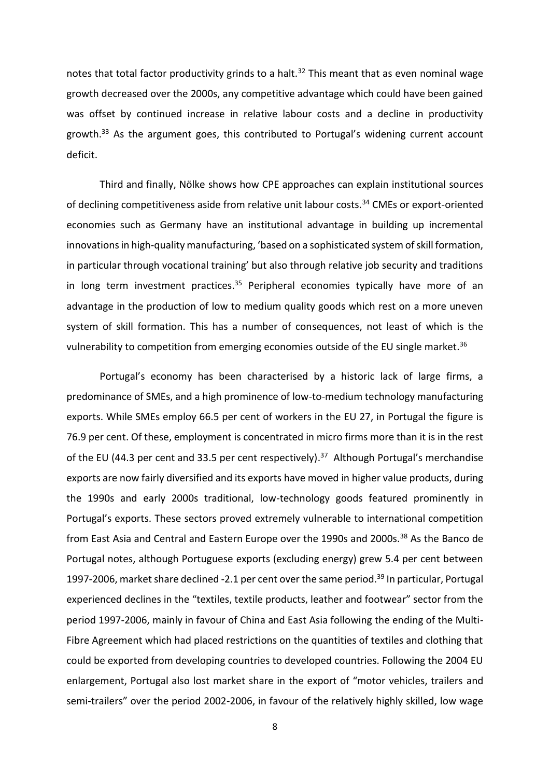notes that total factor productivity grinds to a halt.<sup>32</sup> This meant that as even nominal wage growth decreased over the 2000s, any competitive advantage which could have been gained was offset by continued increase in relative labour costs and a decline in productivity growth.<sup>33</sup> As the argument goes, this contributed to Portugal's widening current account deficit.

Third and finally, Nölke shows how CPE approaches can explain institutional sources of declining competitiveness aside from relative unit labour costs.<sup>34</sup> CMEs or export-oriented economies such as Germany have an institutional advantage in building up incremental innovations in high-quality manufacturing, 'based on a sophisticated system of skill formation, in particular through vocational training' but also through relative job security and traditions in long term investment practices. <sup>35</sup> Peripheral economies typically have more of an advantage in the production of low to medium quality goods which rest on a more uneven system of skill formation. This has a number of consequences, not least of which is the vulnerability to competition from emerging economies outside of the EU single market.<sup>36</sup>

Portugal's economy has been characterised by a historic lack of large firms, a predominance of SMEs, and a high prominence of low-to-medium technology manufacturing exports. While SMEs employ 66.5 per cent of workers in the EU 27, in Portugal the figure is 76.9 per cent. Of these, employment is concentrated in micro firms more than it is in the rest of the EU (44.3 per cent and 33.5 per cent respectively).<sup>37</sup> Although Portugal's merchandise exports are now fairly diversified and its exports have moved in higher value products, during the 1990s and early 2000s traditional, low-technology goods featured prominently in Portugal's exports. These sectors proved extremely vulnerable to international competition from East Asia and Central and Eastern Europe over the 1990s and 2000s.<sup>38</sup> As the Banco de Portugal notes, although Portuguese exports (excluding energy) grew 5.4 per cent between 1997-2006, market share declined -2.1 per cent over the same period.<sup>39</sup> In particular, Portugal experienced declines in the "textiles, textile products, leather and footwear" sector from the period 1997-2006, mainly in favour of China and East Asia following the ending of the Multi-Fibre Agreement which had placed restrictions on the quantities of textiles and clothing that could be exported from developing countries to developed countries. Following the 2004 EU enlargement, Portugal also lost market share in the export of "motor vehicles, trailers and semi-trailers" over the period 2002-2006, in favour of the relatively highly skilled, low wage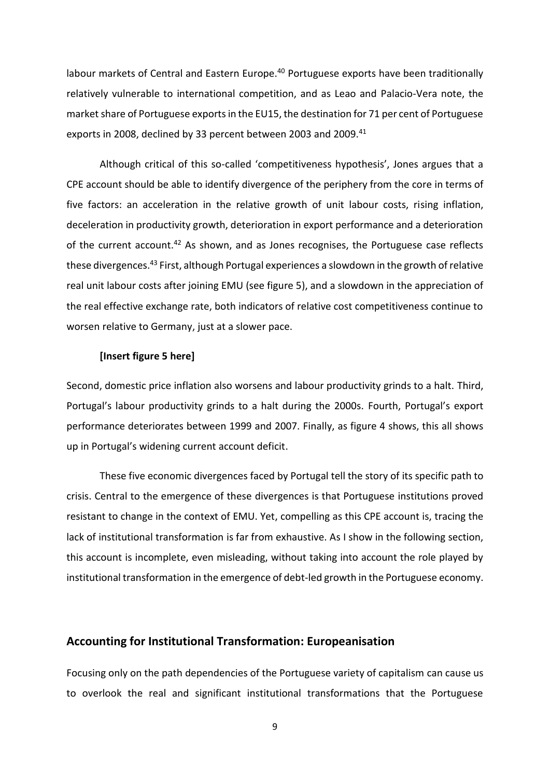labour markets of Central and Eastern Europe.<sup>40</sup> Portuguese exports have been traditionally relatively vulnerable to international competition, and as Leao and Palacio-Vera note, the market share of Portuguese exports in the EU15, the destination for 71 per cent of Portuguese exports in 2008, declined by 33 percent between 2003 and 2009.<sup>41</sup>

Although critical of this so-called 'competitiveness hypothesis', Jones argues that a CPE account should be able to identify divergence of the periphery from the core in terms of five factors: an acceleration in the relative growth of unit labour costs, rising inflation, deceleration in productivity growth, deterioration in export performance and a deterioration of the current account.<sup>42</sup> As shown, and as Jones recognises, the Portuguese case reflects these divergences.<sup>43</sup> First, although Portugal experiences a slowdown in the growth of relative real unit labour costs after joining EMU (see figure 5), and a slowdown in the appreciation of the real effective exchange rate, both indicators of relative cost competitiveness continue to worsen relative to Germany, just at a slower pace.

#### **[Insert figure 5 here]**

Second, domestic price inflation also worsens and labour productivity grinds to a halt. Third, Portugal's labour productivity grinds to a halt during the 2000s. Fourth, Portugal's export performance deteriorates between 1999 and 2007. Finally, as figure 4 shows, this all shows up in Portugal's widening current account deficit.

These five economic divergences faced by Portugal tell the story of its specific path to crisis. Central to the emergence of these divergences is that Portuguese institutions proved resistant to change in the context of EMU. Yet, compelling as this CPE account is, tracing the lack of institutional transformation is far from exhaustive. As I show in the following section, this account is incomplete, even misleading, without taking into account the role played by institutional transformation in the emergence of debt-led growth in the Portuguese economy.

# **Accounting for Institutional Transformation: Europeanisation**

Focusing only on the path dependencies of the Portuguese variety of capitalism can cause us to overlook the real and significant institutional transformations that the Portuguese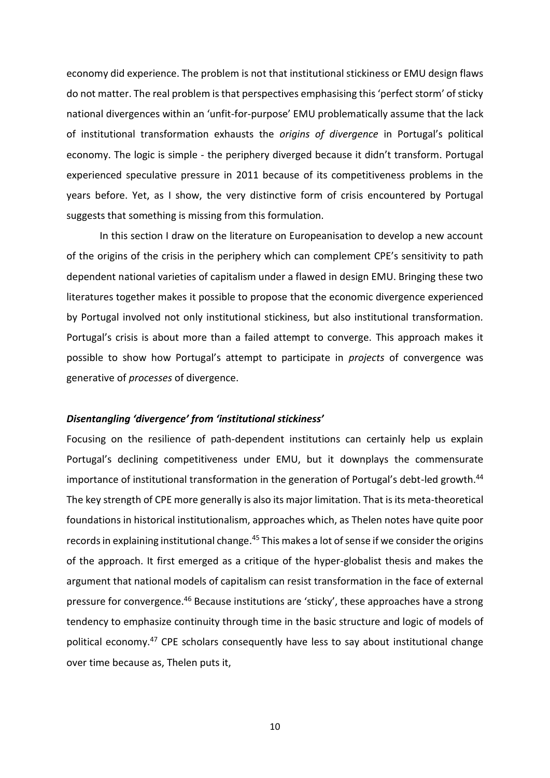economy did experience. The problem is not that institutional stickiness or EMU design flaws do not matter. The real problem is that perspectives emphasising this 'perfect storm' of sticky national divergences within an 'unfit-for-purpose' EMU problematically assume that the lack of institutional transformation exhausts the *origins of divergence* in Portugal's political economy. The logic is simple - the periphery diverged because it didn't transform. Portugal experienced speculative pressure in 2011 because of its competitiveness problems in the years before. Yet, as I show, the very distinctive form of crisis encountered by Portugal suggests that something is missing from this formulation.

In this section I draw on the literature on Europeanisation to develop a new account of the origins of the crisis in the periphery which can complement CPE's sensitivity to path dependent national varieties of capitalism under a flawed in design EMU. Bringing these two literatures together makes it possible to propose that the economic divergence experienced by Portugal involved not only institutional stickiness, but also institutional transformation*.* Portugal's crisis is about more than a failed attempt to converge. This approach makes it possible to show how Portugal's attempt to participate in *projects* of convergence was generative of *processes* of divergence.

#### *Disentangling 'divergence' from 'institutional stickiness'*

Focusing on the resilience of path-dependent institutions can certainly help us explain Portugal's declining competitiveness under EMU, but it downplays the commensurate importance of institutional transformation in the generation of Portugal's debt-led growth.<sup>44</sup> The key strength of CPE more generally is also its major limitation. That is its meta-theoretical foundations in historical institutionalism, approaches which, as Thelen notes have quite poor records in explaining institutional change.<sup>45</sup> This makes a lot of sense if we consider the origins of the approach. It first emerged as a critique of the hyper-globalist thesis and makes the argument that national models of capitalism can resist transformation in the face of external pressure for convergence.<sup>46</sup> Because institutions are 'sticky', these approaches have a strong tendency to emphasize continuity through time in the basic structure and logic of models of political economy. <sup>47</sup> CPE scholars consequently have less to say about institutional change over time because as, Thelen puts it,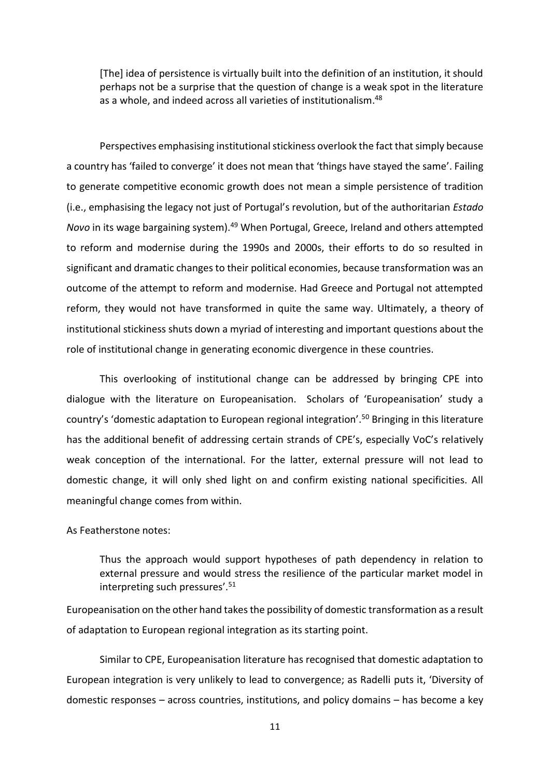[The] idea of persistence is virtually built into the definition of an institution, it should perhaps not be a surprise that the question of change is a weak spot in the literature as a whole, and indeed across all varieties of institutionalism.<sup>48</sup>

Perspectives emphasising institutional stickiness overlook the fact that simply because a country has 'failed to converge' it does not mean that 'things have stayed the same'. Failing to generate competitive economic growth does not mean a simple persistence of tradition (i.e., emphasising the legacy not just of Portugal's revolution, but of the authoritarian *Estado Novo* in its wage bargaining system).<sup>49</sup> When Portugal, Greece, Ireland and others attempted to reform and modernise during the 1990s and 2000s, their efforts to do so resulted in significant and dramatic changes to their political economies, because transformation was an outcome of the attempt to reform and modernise. Had Greece and Portugal not attempted reform, they would not have transformed in quite the same way. Ultimately, a theory of institutional stickiness shuts down a myriad of interesting and important questions about the role of institutional change in generating economic divergence in these countries.

This overlooking of institutional change can be addressed by bringing CPE into dialogue with the literature on Europeanisation. Scholars of 'Europeanisation' study a country's 'domestic adaptation to European regional integration'.<sup>50</sup> Bringing in this literature has the additional benefit of addressing certain strands of CPE's, especially VoC's relatively weak conception of the international. For the latter, external pressure will not lead to domestic change, it will only shed light on and confirm existing national specificities. All meaningful change comes from within.

#### As Featherstone notes:

Thus the approach would support hypotheses of path dependency in relation to external pressure and would stress the resilience of the particular market model in interpreting such pressures'.<sup>51</sup>

Europeanisation on the other hand takes the possibility of domestic transformation as a result of adaptation to European regional integration as its starting point.

Similar to CPE, Europeanisation literature has recognised that domestic adaptation to European integration is very unlikely to lead to convergence; as Radelli puts it, 'Diversity of domestic responses – across countries, institutions, and policy domains – has become a key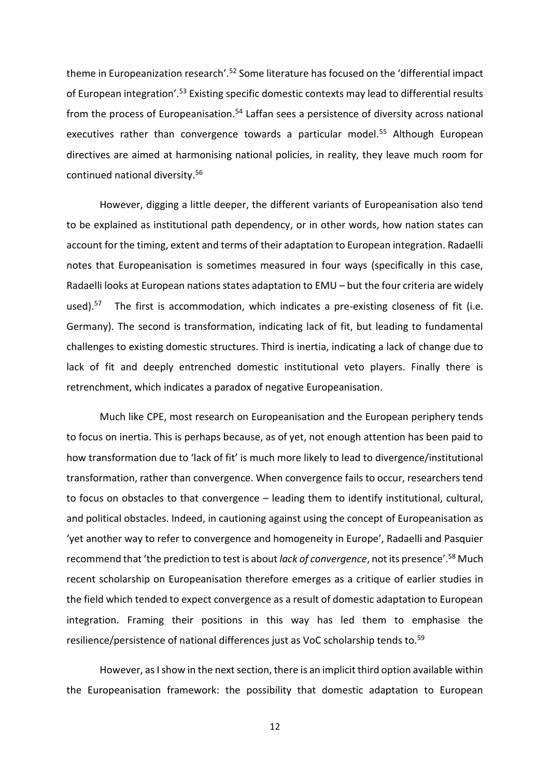theme in Europeanization research'.<sup>52</sup> Some literature has focused on the 'differential impact of European integration'.<sup>53</sup> Existing specific domestic contexts may lead to differential results from the process of Europeanisation.<sup>54</sup> Laffan sees a persistence of diversity across national executives rather than convergence towards a particular model.<sup>55</sup> Although European directives are aimed at harmonising national policies, in reality, they leave much room for continued national diversity.<sup>56</sup>

However, digging a little deeper, the different variants of Europeanisation also tend to be explained as institutional path dependency, or in other words, how nation states can account for the timing, extent and terms of their adaptation to European integration. Radaelli notes that Europeanisation is sometimes measured in four ways (specifically in this case, Radaelli looks at European nations states adaptation to EMU – but the four criteria are widely used).<sup>57</sup> The first is accommodation, which indicates a pre-existing closeness of fit (i.e. Germany). The second is transformation, indicating lack of fit, but leading to fundamental challenges to existing domestic structures. Third is inertia, indicating a lack of change due to lack of fit and deeply entrenched domestic institutional veto players. Finally there is retrenchment, which indicates a paradox of negative Europeanisation.

Much like CPE, most research on Europeanisation and the European periphery tends to focus on inertia. This is perhaps because, as of yet, not enough attention has been paid to how transformation due to 'lack of fit' is much more likely to lead to divergence/institutional transformation, rather than convergence. When convergence fails to occur, researchers tend to focus on obstacles to that convergence – leading them to identify institutional, cultural, and political obstacles. Indeed, in cautioning against using the concept of Europeanisation as 'yet another way to refer to convergence and homogeneity in Europe', Radaelli and Pasquier recommend that 'the prediction to test is about *lack of convergence*, not its presence'.<sup>58</sup> Much recent scholarship on Europeanisation therefore emerges as a critique of earlier studies in the field which tended to expect convergence as a result of domestic adaptation to European integration. Framing their positions in this way has led them to emphasise the resilience/persistence of national differences just as VoC scholarship tends to.<sup>59</sup>

However, as I show in the next section, there is an implicit third option available within the Europeanisation framework: the possibility that domestic adaptation to European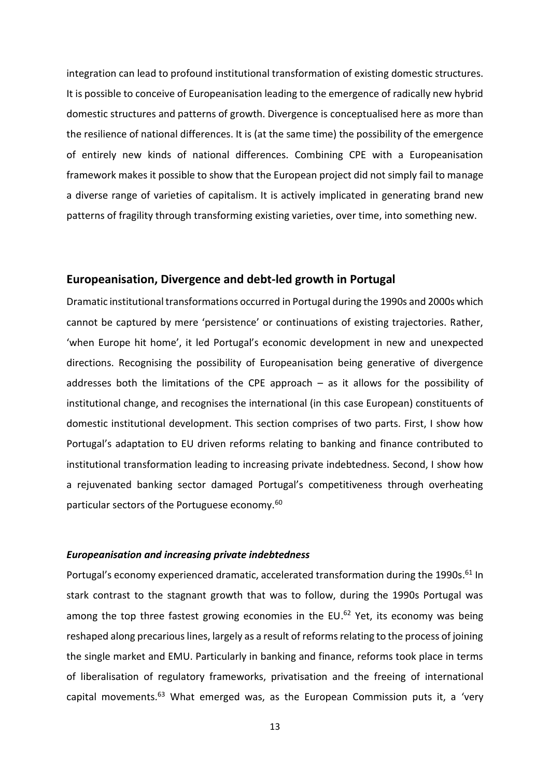integration can lead to profound institutional transformation of existing domestic structures. It is possible to conceive of Europeanisation leading to the emergence of radically new hybrid domestic structures and patterns of growth. Divergence is conceptualised here as more than the resilience of national differences. It is (at the same time) the possibility of the emergence of entirely new kinds of national differences. Combining CPE with a Europeanisation framework makes it possible to show that the European project did not simply fail to manage a diverse range of varieties of capitalism. It is actively implicated in generating brand new patterns of fragility through transforming existing varieties, over time, into something new.

#### **Europeanisation, Divergence and debt-led growth in Portugal**

Dramatic institutional transformations occurred in Portugal during the 1990s and 2000s which cannot be captured by mere 'persistence' or continuations of existing trajectories. Rather, 'when Europe hit home', it led Portugal's economic development in new and unexpected directions. Recognising the possibility of Europeanisation being generative of divergence addresses both the limitations of the CPE approach  $-$  as it allows for the possibility of institutional change, and recognises the international (in this case European) constituents of domestic institutional development. This section comprises of two parts. First, I show how Portugal's adaptation to EU driven reforms relating to banking and finance contributed to institutional transformation leading to increasing private indebtedness. Second, I show how a rejuvenated banking sector damaged Portugal's competitiveness through overheating particular sectors of the Portuguese economy.<sup>60</sup>

#### *Europeanisation and increasing private indebtedness*

Portugal's economy experienced dramatic, accelerated transformation during the 1990s.<sup>61</sup> In stark contrast to the stagnant growth that was to follow, during the 1990s Portugal was among the top three fastest growing economies in the EU.<sup>62</sup> Yet, its economy was being reshaped along precarious lines, largely as a result of reforms relating to the process of joining the single market and EMU. Particularly in banking and finance, reforms took place in terms of liberalisation of regulatory frameworks, privatisation and the freeing of international capital movements. $63$  What emerged was, as the European Commission puts it, a 'very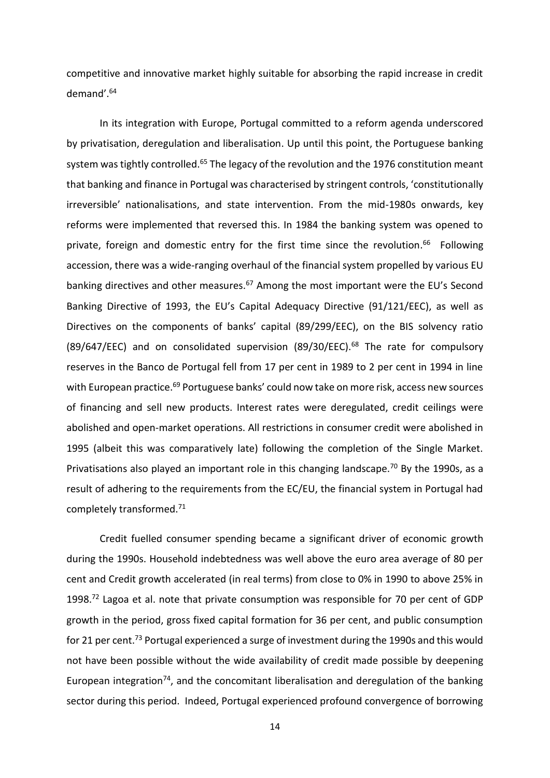competitive and innovative market highly suitable for absorbing the rapid increase in credit demand'.<sup>64</sup>

In its integration with Europe, Portugal committed to a reform agenda underscored by privatisation, deregulation and liberalisation. Up until this point, the Portuguese banking system was tightly controlled.<sup>65</sup> The legacy of the revolution and the 1976 constitution meant that banking and finance in Portugal was characterised by stringent controls, 'constitutionally irreversible' nationalisations, and state intervention. From the mid-1980s onwards, key reforms were implemented that reversed this. In 1984 the banking system was opened to private, foreign and domestic entry for the first time since the revolution.<sup>66</sup> Following accession, there was a wide-ranging overhaul of the financial system propelled by various EU banking directives and other measures.<sup>67</sup> Among the most important were the EU's Second Banking Directive of 1993, the EU's Capital Adequacy Directive (91/121/EEC), as well as Directives on the components of banks' capital (89/299/EEC), on the BIS solvency ratio (89/647/EEC) and on consolidated supervision (89/30/EEC).<sup>68</sup> The rate for compulsory reserves in the Banco de Portugal fell from 17 per cent in 1989 to 2 per cent in 1994 in line with European practice.<sup>69</sup> Portuguese banks' could now take on more risk, access new sources of financing and sell new products. Interest rates were deregulated, credit ceilings were abolished and open-market operations. All restrictions in consumer credit were abolished in 1995 (albeit this was comparatively late) following the completion of the Single Market. Privatisations also played an important role in this changing landscape.<sup>70</sup> By the 1990s, as a result of adhering to the requirements from the EC/EU, the financial system in Portugal had completely transformed. 71

Credit fuelled consumer spending became a significant driver of economic growth during the 1990s. Household indebtedness was well above the euro area average of 80 per cent and Credit growth accelerated (in real terms) from close to 0% in 1990 to above 25% in 1998.<sup>72</sup> Lagoa et al. note that private consumption was responsible for 70 per cent of GDP growth in the period, gross fixed capital formation for 36 per cent, and public consumption for 21 per cent.<sup>73</sup> Portugal experienced a surge of investment during the 1990s and this would not have been possible without the wide availability of credit made possible by deepening European integration<sup>74</sup>, and the concomitant liberalisation and deregulation of the banking sector during this period. Indeed, Portugal experienced profound convergence of borrowing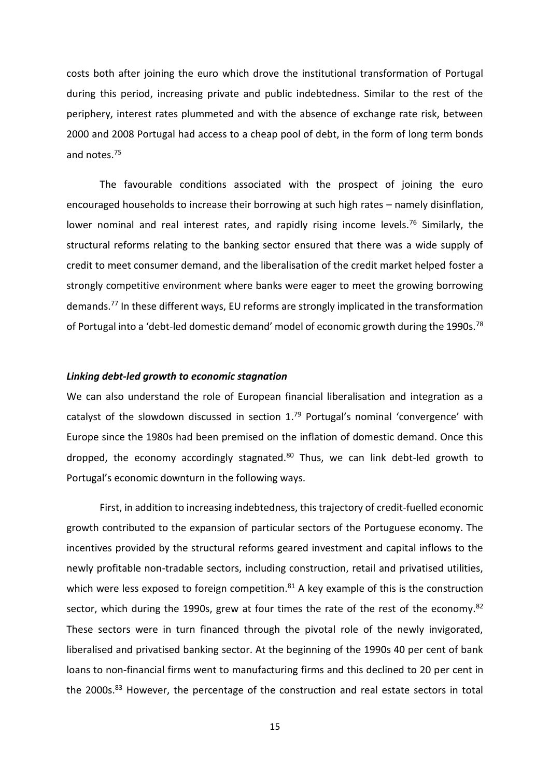costs both after joining the euro which drove the institutional transformation of Portugal during this period, increasing private and public indebtedness. Similar to the rest of the periphery, interest rates plummeted and with the absence of exchange rate risk, between 2000 and 2008 Portugal had access to a cheap pool of debt, in the form of long term bonds and notes.<sup>75</sup>

The favourable conditions associated with the prospect of joining the euro encouraged households to increase their borrowing at such high rates – namely disinflation, lower nominal and real interest rates, and rapidly rising income levels.<sup>76</sup> Similarly, the structural reforms relating to the banking sector ensured that there was a wide supply of credit to meet consumer demand, and the liberalisation of the credit market helped foster a strongly competitive environment where banks were eager to meet the growing borrowing demands.<sup>77</sup> In these different ways, EU reforms are strongly implicated in the transformation of Portugal into a 'debt-led domestic demand' model of economic growth during the 1990s.<sup>78</sup>

#### *Linking debt-led growth to economic stagnation*

We can also understand the role of European financial liberalisation and integration as a catalyst of the slowdown discussed in section  $1.^{79}$  Portugal's nominal 'convergence' with Europe since the 1980s had been premised on the inflation of domestic demand. Once this dropped, the economy accordingly stagnated. $80$  Thus, we can link debt-led growth to Portugal's economic downturn in the following ways.

First, in addition to increasing indebtedness, this trajectory of credit-fuelled economic growth contributed to the expansion of particular sectors of the Portuguese economy. The incentives provided by the structural reforms geared investment and capital inflows to the newly profitable non-tradable sectors, including construction, retail and privatised utilities, which were less exposed to foreign competition. $81$  A key example of this is the construction sector, which during the 1990s, grew at four times the rate of the rest of the economy.<sup>82</sup> These sectors were in turn financed through the pivotal role of the newly invigorated, liberalised and privatised banking sector. At the beginning of the 1990s 40 per cent of bank loans to non-financial firms went to manufacturing firms and this declined to 20 per cent in the 2000s.<sup>83</sup> However, the percentage of the construction and real estate sectors in total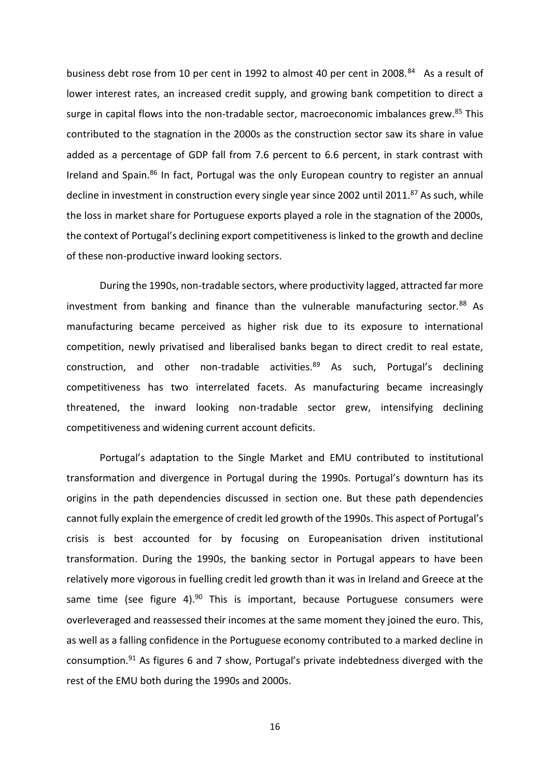business debt rose from 10 per cent in 1992 to almost 40 per cent in 2008.<sup>84</sup> As a result of lower interest rates, an increased credit supply, and growing bank competition to direct a surge in capital flows into the non-tradable sector, macroeconomic imbalances grew.<sup>85</sup> This contributed to the stagnation in the 2000s as the construction sector saw its share in value added as a percentage of GDP fall from 7.6 percent to 6.6 percent, in stark contrast with Ireland and Spain.<sup>86</sup> In fact, Portugal was the only European country to register an annual decline in investment in construction every single year since 2002 until 2011.<sup>87</sup> As such, while the loss in market share for Portuguese exports played a role in the stagnation of the 2000s, the context of Portugal's declining export competitiveness is linked to the growth and decline of these non-productive inward looking sectors.

During the 1990s, non-tradable sectors, where productivity lagged, attracted far more investment from banking and finance than the vulnerable manufacturing sector. $88$  As manufacturing became perceived as higher risk due to its exposure to international competition, newly privatised and liberalised banks began to direct credit to real estate, construction, and other non-tradable activities. $89$  As such, Portugal's declining competitiveness has two interrelated facets. As manufacturing became increasingly threatened, the inward looking non-tradable sector grew, intensifying declining competitiveness and widening current account deficits.

Portugal's adaptation to the Single Market and EMU contributed to institutional transformation and divergence in Portugal during the 1990s. Portugal's downturn has its origins in the path dependencies discussed in section one. But these path dependencies cannot fully explain the emergence of credit led growth of the 1990s. This aspect of Portugal's crisis is best accounted for by focusing on Europeanisation driven institutional transformation. During the 1990s, the banking sector in Portugal appears to have been relatively more vigorous in fuelling credit led growth than it was in Ireland and Greece at the same time (see figure 4). $90$  This is important, because Portuguese consumers were overleveraged and reassessed their incomes at the same moment they joined the euro. This, as well as a falling confidence in the Portuguese economy contributed to a marked decline in consumption.<sup>91</sup> As figures 6 and 7 show, Portugal's private indebtedness diverged with the rest of the EMU both during the 1990s and 2000s.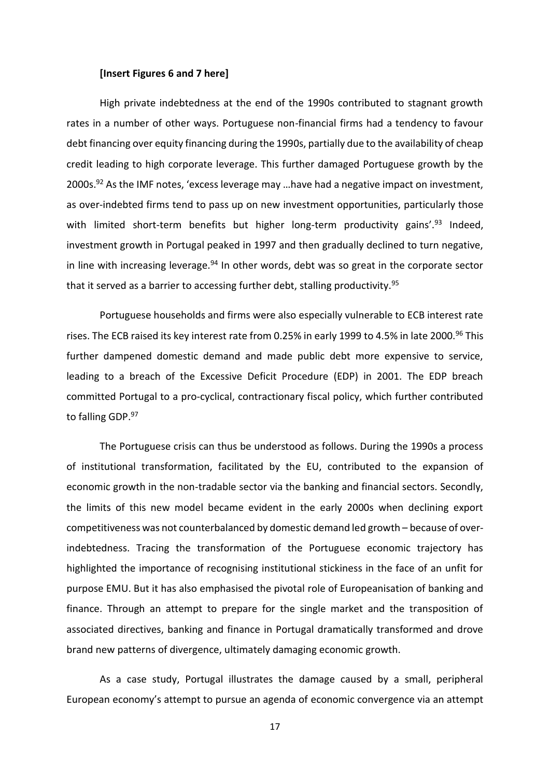#### **[Insert Figures 6 and 7 here]**

High private indebtedness at the end of the 1990s contributed to stagnant growth rates in a number of other ways. Portuguese non-financial firms had a tendency to favour debt financing over equity financing during the 1990s, partially due to the availability of cheap credit leading to high corporate leverage. This further damaged Portuguese growth by the 2000s.<sup>92</sup> As the IMF notes, 'excess leverage may ...have had a negative impact on investment, as over-indebted firms tend to pass up on new investment opportunities, particularly those with limited short-term benefits but higher long-term productivity gains'. $93$  Indeed, investment growth in Portugal peaked in 1997 and then gradually declined to turn negative, in line with increasing leverage. $94$  In other words, debt was so great in the corporate sector that it served as a barrier to accessing further debt, stalling productivity.<sup>95</sup>

Portuguese households and firms were also especially vulnerable to ECB interest rate rises. The ECB raised its key interest rate from 0.25% in early 1999 to 4.5% in late 2000.<sup>96</sup> This further dampened domestic demand and made public debt more expensive to service, leading to a breach of the Excessive Deficit Procedure (EDP) in 2001. The EDP breach committed Portugal to a pro-cyclical, contractionary fiscal policy, which further contributed to falling GDP.97

The Portuguese crisis can thus be understood as follows. During the 1990s a process of institutional transformation, facilitated by the EU, contributed to the expansion of economic growth in the non-tradable sector via the banking and financial sectors. Secondly, the limits of this new model became evident in the early 2000s when declining export competitiveness was not counterbalanced by domestic demand led growth – because of overindebtedness. Tracing the transformation of the Portuguese economic trajectory has highlighted the importance of recognising institutional stickiness in the face of an unfit for purpose EMU. But it has also emphasised the pivotal role of Europeanisation of banking and finance. Through an attempt to prepare for the single market and the transposition of associated directives, banking and finance in Portugal dramatically transformed and drove brand new patterns of divergence, ultimately damaging economic growth.

As a case study, Portugal illustrates the damage caused by a small, peripheral European economy's attempt to pursue an agenda of economic convergence via an attempt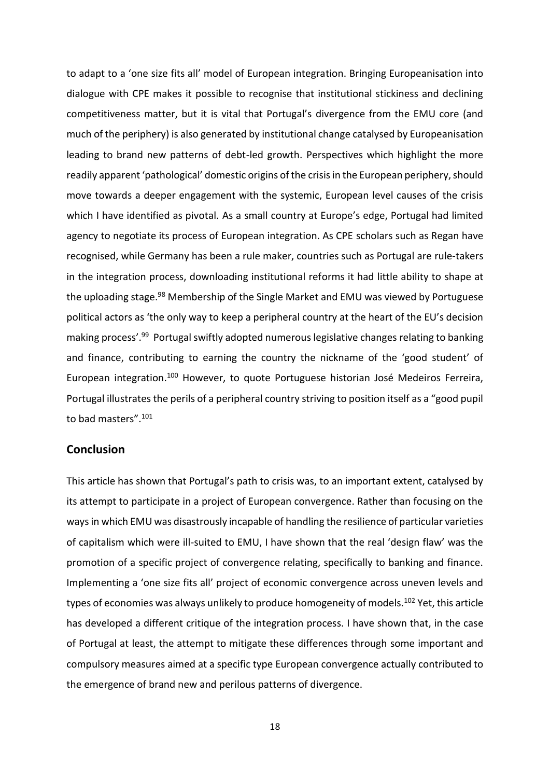to adapt to a 'one size fits all' model of European integration. Bringing Europeanisation into dialogue with CPE makes it possible to recognise that institutional stickiness and declining competitiveness matter, but it is vital that Portugal's divergence from the EMU core (and much of the periphery) is also generated by institutional change catalysed by Europeanisation leading to brand new patterns of debt-led growth. Perspectives which highlight the more readily apparent 'pathological' domestic origins of the crisis in the European periphery, should move towards a deeper engagement with the systemic, European level causes of the crisis which I have identified as pivotal. As a small country at Europe's edge, Portugal had limited agency to negotiate its process of European integration. As CPE scholars such as Regan have recognised, while Germany has been a rule maker, countries such as Portugal are rule-takers in the integration process, downloading institutional reforms it had little ability to shape at the uploading stage.<sup>98</sup> Membership of the Single Market and EMU was viewed by Portuguese political actors as 'the only way to keep a peripheral country at the heart of the EU's decision making process'.<sup>99</sup> Portugal swiftly adopted numerous legislative changes relating to banking and finance, contributing to earning the country the nickname of the 'good student' of European integration.<sup>100</sup> However, to quote Portuguese historian José Medeiros Ferreira, Portugal illustrates the perils of a peripheral country striving to position itself as a "good pupil to bad masters".<sup>101</sup>

#### **Conclusion**

This article has shown that Portugal's path to crisis was, to an important extent, catalysed by its attempt to participate in a project of European convergence. Rather than focusing on the ways in which EMU was disastrously incapable of handling the resilience of particular varieties of capitalism which were ill-suited to EMU, I have shown that the real 'design flaw' was the promotion of a specific project of convergence relating, specifically to banking and finance. Implementing a 'one size fits all' project of economic convergence across uneven levels and types of economies was always unlikely to produce homogeneity of models.<sup>102</sup> Yet, this article has developed a different critique of the integration process. I have shown that, in the case of Portugal at least, the attempt to mitigate these differences through some important and compulsory measures aimed at a specific type European convergence actually contributed to the emergence of brand new and perilous patterns of divergence.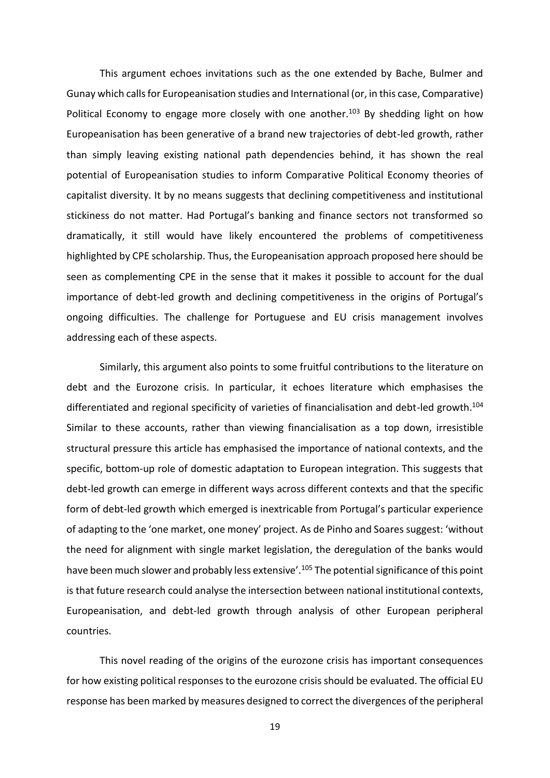This argument echoes invitations such as the one extended by Bache, Bulmer and Gunay which calls for Europeanisation studies and International (or, in this case, Comparative) Political Economy to engage more closely with one another.<sup>103</sup> By shedding light on how Europeanisation has been generative of a brand new trajectories of debt-led growth, rather than simply leaving existing national path dependencies behind, it has shown the real potential of Europeanisation studies to inform Comparative Political Economy theories of capitalist diversity. It by no means suggests that declining competitiveness and institutional stickiness do not matter. Had Portugal's banking and finance sectors not transformed so dramatically, it still would have likely encountered the problems of competitiveness highlighted by CPE scholarship. Thus, the Europeanisation approach proposed here should be seen as complementing CPE in the sense that it makes it possible to account for the dual importance of debt-led growth and declining competitiveness in the origins of Portugal's ongoing difficulties. The challenge for Portuguese and EU crisis management involves addressing each of these aspects.

Similarly, this argument also points to some fruitful contributions to the literature on debt and the Eurozone crisis. In particular, it echoes literature which emphasises the differentiated and regional specificity of varieties of financialisation and debt-led growth.<sup>104</sup> Similar to these accounts, rather than viewing financialisation as a top down, irresistible structural pressure this article has emphasised the importance of national contexts, and the specific, bottom-up role of domestic adaptation to European integration. This suggests that debt-led growth can emerge in different ways across different contexts and that the specific form of debt-led growth which emerged is inextricable from Portugal's particular experience of adapting to the 'one market, one money' project. As de Pinho and Soares suggest: 'without the need for alignment with single market legislation, the deregulation of the banks would have been much slower and probably less extensive'.<sup>105</sup> The potential significance of this point is that future research could analyse the intersection between national institutional contexts, Europeanisation, and debt-led growth through analysis of other European peripheral countries.

This novel reading of the origins of the eurozone crisis has important consequences for how existing political responses to the eurozone crisis should be evaluated. The official EU response has been marked by measures designed to correct the divergences of the peripheral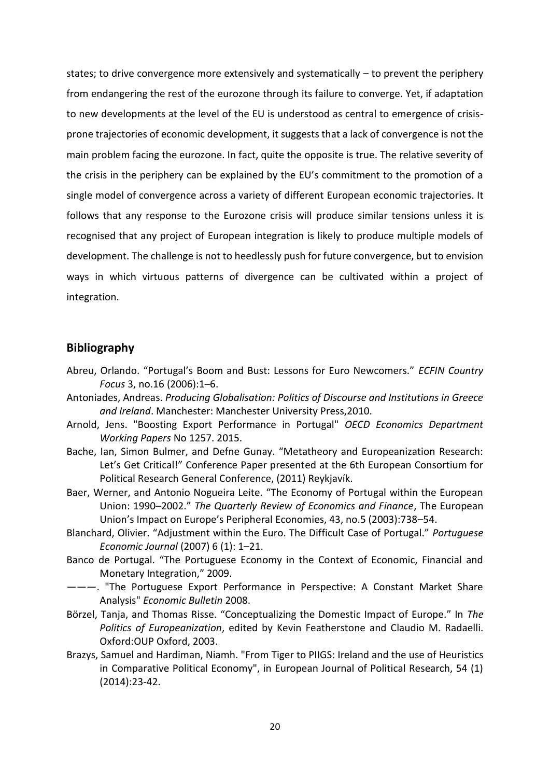states; to drive convergence more extensively and systematically – to prevent the periphery from endangering the rest of the eurozone through its failure to converge. Yet, if adaptation to new developments at the level of the EU is understood as central to emergence of crisisprone trajectories of economic development, it suggests that a lack of convergence is not the main problem facing the eurozone. In fact, quite the opposite is true. The relative severity of the crisis in the periphery can be explained by the EU's commitment to the promotion of a single model of convergence across a variety of different European economic trajectories. It follows that any response to the Eurozone crisis will produce similar tensions unless it is recognised that any project of European integration is likely to produce multiple models of development. The challenge is not to heedlessly push for future convergence, but to envision ways in which virtuous patterns of divergence can be cultivated within a project of integration.

# **Bibliography**

- Abreu, Orlando. "Portugal's Boom and Bust: Lessons for Euro Newcomers." *ECFIN Country Focus* 3, no.16 (2006):1–6.
- Antoniades, Andreas. *Producing Globalisation: Politics of Discourse and Institutions in Greece and Ireland*. Manchester: Manchester University Press,2010.
- Arnold, Jens. "Boosting Export Performance in Portugal" *OECD Economics Department Working Papers* No 1257. 2015.
- Bache, Ian, Simon Bulmer, and Defne Gunay. "Metatheory and Europeanization Research: Let's Get Critical!" Conference Paper presented at the 6th European Consortium for Political Research General Conference, (2011) Reykjavík.
- Baer, Werner, and Antonio Nogueira Leite. "The Economy of Portugal within the European Union: 1990–2002." *The Quarterly Review of Economics and Finance*, The European Union's Impact on Europe's Peripheral Economies, 43, no.5 (2003):738–54.
- Blanchard, Olivier. "Adjustment within the Euro. The Difficult Case of Portugal." *Portuguese Economic Journal* (2007) 6 (1): 1–21.
- Banco de Portugal. "The Portuguese Economy in the Context of Economic, Financial and Monetary Integration," 2009.
- ———. "The Portuguese Export Performance in Perspective: A Constant Market Share Analysis" *Economic Bulletin* 2008.
- Börzel, Tanja, and Thomas Risse. "Conceptualizing the Domestic Impact of Europe." In *The Politics of Europeanization*, edited by Kevin Featherstone and Claudio M. Radaelli. Oxford:OUP Oxford, 2003.
- Brazys, Samuel and Hardiman, Niamh. "From Tiger to PIIGS: Ireland and the use of Heuristics in Comparative Political Economy", in European Journal of Political Research, 54 (1) (2014):23-42.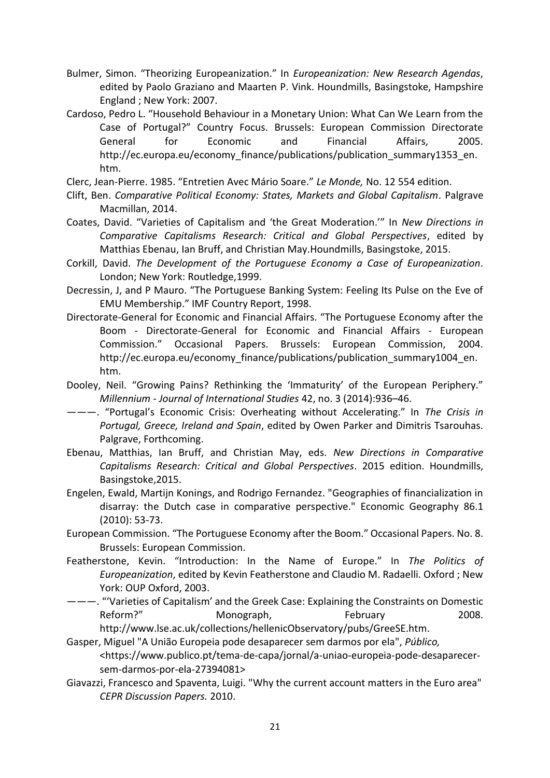- Bulmer, Simon. "Theorizing Europeanization." In *Europeanization: New Research Agendas*, edited by Paolo Graziano and Maarten P. Vink. Houndmills, Basingstoke, Hampshire England ; New York: 2007.
- Cardoso, Pedro L. "Household Behaviour in a Monetary Union: What Can We Learn from the Case of Portugal?" Country Focus. Brussels: European Commission Directorate General for Economic and Financial Affairs, 2005. http://ec.europa.eu/economy\_finance/publications/publication\_summary1353\_en. htm.

Clerc, Jean-Pierre. 1985. "Entretien Avec Mário Soare." *Le Monde,* No. 12 554 edition.

- Clift, Ben. *Comparative Political Economy: States, Markets and Global Capitalism*. Palgrave Macmillan, 2014.
- Coates, David. "Varieties of Capitalism and 'the Great Moderation.'" In *New Directions in Comparative Capitalisms Research: Critical and Global Perspectives*, edited by Matthias Ebenau, Ian Bruff, and Christian May.Houndmills, Basingstoke, 2015.
- Corkill, David. *The Development of the Portuguese Economy a Case of Europeanization*. London; New York: Routledge,1999.
- Decressin, J, and P Mauro. "The Portuguese Banking System: Feeling Its Pulse on the Eve of EMU Membership." IMF Country Report, 1998.
- Directorate-General for Economic and Financial Affairs. "The Portuguese Economy after the Boom - Directorate-General for Economic and Financial Affairs - European Commission." Occasional Papers. Brussels: European Commission, 2004. http://ec.europa.eu/economy\_finance/publications/publication\_summary1004\_en. htm.
- Dooley, Neil. "Growing Pains? Rethinking the 'Immaturity' of the European Periphery." *Millennium - Journal of International Studies* 42, no. 3 (2014):936–46.
- ———. "Portugal's Economic Crisis: Overheating without Accelerating." In *The Crisis in Portugal, Greece, Ireland and Spain*, edited by Owen Parker and Dimitris Tsarouhas. Palgrave, Forthcoming.
- Ebenau, Matthias, Ian Bruff, and Christian May, eds. *New Directions in Comparative Capitalisms Research: Critical and Global Perspectives*. 2015 edition. Houndmills, Basingstoke,2015.
- Engelen, Ewald, Martijn Konings, and Rodrigo Fernandez. "Geographies of financialization in disarray: the Dutch case in comparative perspective." Economic Geography 86.1 (2010): 53-73.
- European Commission. "The Portuguese Economy after the Boom." Occasional Papers. No. 8. Brussels: European Commission.
- Featherstone, Kevin. "Introduction: In the Name of Europe." In *The Politics of Europeanization*, edited by Kevin Featherstone and Claudio M. Radaelli. Oxford ; New York: OUP Oxford, 2003.
- ———. "'Varieties of Capitalism' and the Greek Case: Explaining the Constraints on Domestic Reform?" Monograph, Reformary 2008. http://www.lse.ac.uk/collections/hellenicObservatory/pubs/GreeSE.htm.

Gasper, Miguel "A União Europeia pode desaparecer sem darmos por ela", *Público,*

- <https://www.publico.pt/tema-de-capa/jornal/a-uniao-europeia-pode-desaparecersem-darmos-por-ela-27394081>
- Giavazzi, Francesco and Spaventa, Luigi. "Why the current account matters in the Euro area" *CEPR Discussion Papers.* 2010.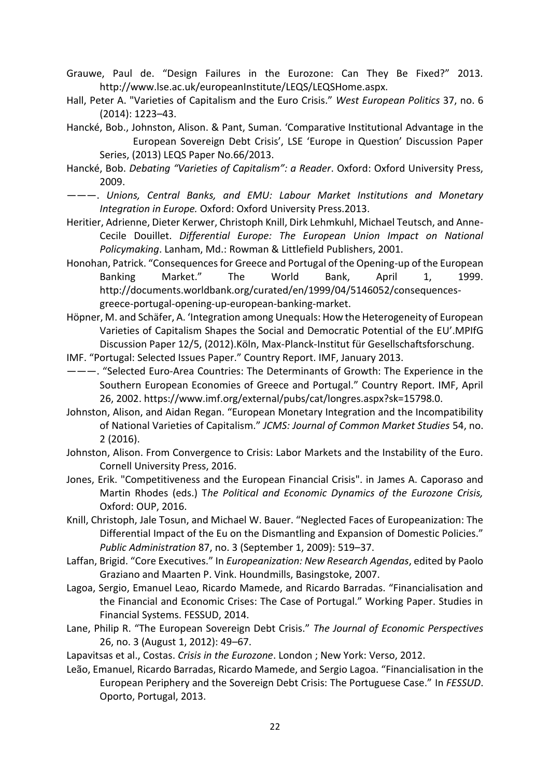Grauwe, Paul de. "Design Failures in the Eurozone: Can They Be Fixed?" 2013. http://www.lse.ac.uk/europeanInstitute/LEQS/LEQSHome.aspx.

Hall, Peter A. "Varieties of Capitalism and the Euro Crisis." *West European Politics* 37, no. 6 (2014): 1223–43.

Hancké, Bob., Johnston, Alison. & Pant, Suman. 'Comparative Institutional Advantage in the European Sovereign Debt Crisis', LSE 'Europe in Question' Discussion Paper Series, (2013) LEQS Paper No.66/2013.

Hancké, Bob. *Debating "Varieties of Capitalism": a Reader*. Oxford: Oxford University Press, 2009.

———. *Unions, Central Banks, and EMU: Labour Market Institutions and Monetary Integration in Europe.* Oxford: Oxford University Press.2013.

Heritier, Adrienne, Dieter Kerwer, Christoph Knill, Dirk Lehmkuhl, Michael Teutsch, and Anne-Cecile Douillet. *Differential Europe: The European Union Impact on National Policymaking*. Lanham, Md.: Rowman & Littlefield Publishers, 2001.

Honohan, Patrick. "Consequences for Greece and Portugal of the Opening-up of the European Banking Market." The World Bank, April 1, 1999. http://documents.worldbank.org/curated/en/1999/04/5146052/consequencesgreece-portugal-opening-up-european-banking-market.

Höpner, M. and Schäfer, A. 'Integration among Unequals: How the Heterogeneity of European Varieties of Capitalism Shapes the Social and Democratic Potential of the EU'.MPIfG Discussion Paper 12/5, (2012).Köln, Max-Planck-Institut für Gesellschaftsforschung.

IMF. "Portugal: Selected Issues Paper." Country Report. IMF, January 2013.

———. "Selected Euro-Area Countries: The Determinants of Growth: The Experience in the Southern European Economies of Greece and Portugal." Country Report. IMF, April 26, 2002. https://www.imf.org/external/pubs/cat/longres.aspx?sk=15798.0.

Johnston, Alison, and Aidan Regan. "European Monetary Integration and the Incompatibility of National Varieties of Capitalism." *JCMS: Journal of Common Market Studies* 54, no. 2 (2016).

Johnston, Alison. From Convergence to Crisis: Labor Markets and the Instability of the Euro. Cornell University Press, 2016.

Jones, Erik. "Competitiveness and the European Financial Crisis". in James A. Caporaso and Martin Rhodes (eds.) T*he Political and Economic Dynamics of the Eurozone Crisis,*  Oxford: OUP, 2016.

Knill, Christoph, Jale Tosun, and Michael W. Bauer. "Neglected Faces of Europeanization: The Differential Impact of the Eu on the Dismantling and Expansion of Domestic Policies." *Public Administration* 87, no. 3 (September 1, 2009): 519–37.

Laffan, Brigid. "Core Executives." In *Europeanization: New Research Agendas*, edited by Paolo Graziano and Maarten P. Vink. Houndmills, Basingstoke, 2007.

Lagoa, Sergio, Emanuel Leao, Ricardo Mamede, and Ricardo Barradas. "Financialisation and the Financial and Economic Crises: The Case of Portugal." Working Paper. Studies in Financial Systems. FESSUD, 2014.

Lane, Philip R. "The European Sovereign Debt Crisis." *The Journal of Economic Perspectives* 26, no. 3 (August 1, 2012): 49–67.

Lapavitsas et al., Costas. *Crisis in the Eurozone*. London ; New York: Verso, 2012.

Leão, Emanuel, Ricardo Barradas, Ricardo Mamede, and Sergio Lagoa. "Financialisation in the European Periphery and the Sovereign Debt Crisis: The Portuguese Case." In *FESSUD*. Oporto, Portugal, 2013.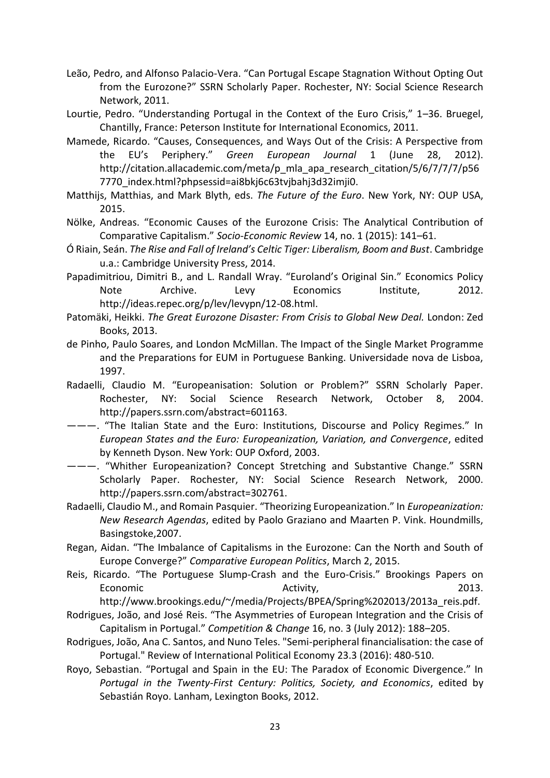- Leão, Pedro, and Alfonso Palacio-Vera. "Can Portugal Escape Stagnation Without Opting Out from the Eurozone?" SSRN Scholarly Paper. Rochester, NY: Social Science Research Network, 2011.
- Lourtie, Pedro. "Understanding Portugal in the Context of the Euro Crisis," 1–36. Bruegel, Chantilly, France: Peterson Institute for International Economics, 2011.
- Mamede, Ricardo. "Causes, Consequences, and Ways Out of the Crisis: A Perspective from the EU's Periphery." *Green European Journal* 1 (June 28, 2012). http://citation.allacademic.com/meta/p\_mla\_apa\_research\_citation/5/6/7/7/7/p56 7770\_index.html?phpsessid=ai8bkj6c63tvjbahj3d32imji0.
- Matthijs, Matthias, and Mark Blyth, eds. *The Future of the Euro*. New York, NY: OUP USA, 2015.
- Nölke, Andreas. "Economic Causes of the Eurozone Crisis: The Analytical Contribution of Comparative Capitalism." *Socio-Economic Review* 14, no. 1 (2015): 141–61.
- Ó Riain, Seán. *The Rise and Fall of Ireland's Celtic Tiger: Liberalism, Boom and Bust*. Cambridge u.a.: Cambridge University Press, 2014.
- Papadimitriou, Dimitri B., and L. Randall Wray. "Euroland's Original Sin." Economics Policy Note Archive. Levy Economics Institute, 2012. http://ideas.repec.org/p/lev/levypn/12-08.html.
- Patomäki, Heikki. *The Great Eurozone Disaster: From Crisis to Global New Deal.* London: Zed Books, 2013.
- de Pinho, Paulo Soares, and London McMillan. The Impact of the Single Market Programme and the Preparations for EUM in Portuguese Banking. Universidade nova de Lisboa, 1997.
- Radaelli, Claudio M. "Europeanisation: Solution or Problem?" SSRN Scholarly Paper. Rochester, NY: Social Science Research Network, October 8, 2004. http://papers.ssrn.com/abstract=601163.
- ---. "The Italian State and the Euro: Institutions, Discourse and Policy Regimes." In *European States and the Euro: Europeanization, Variation, and Convergence*, edited by Kenneth Dyson. New York: OUP Oxford, 2003.
- ---. "Whither Europeanization? Concept Stretching and Substantive Change." SSRN Scholarly Paper. Rochester, NY: Social Science Research Network, 2000. http://papers.ssrn.com/abstract=302761.
- Radaelli, Claudio M., and Romain Pasquier. "Theorizing Europeanization." In *Europeanization: New Research Agendas*, edited by Paolo Graziano and Maarten P. Vink. Houndmills, Basingstoke,2007.
- Regan, Aidan. "The Imbalance of Capitalisms in the Eurozone: Can the North and South of Europe Converge?" *Comparative European Politics*, March 2, 2015.
- Reis, Ricardo. "The Portuguese Slump-Crash and the Euro-Crisis." Brookings Papers on Economic and a controller and activity, the conomic controller and a set of  $\alpha$  and  $\alpha$  activity,  $\alpha$  and  $\alpha$  and  $\alpha$  and  $\alpha$  and  $\alpha$  and  $\alpha$  are controller as  $\alpha$  and  $\alpha$  and  $\alpha$  are controller as  $\alpha$  and  $\alpha$

http://www.brookings.edu/~/media/Projects/BPEA/Spring%202013/2013a\_reis.pdf.

- Rodrigues, João, and José Reis. "The Asymmetries of European Integration and the Crisis of Capitalism in Portugal." *Competition & Change* 16, no. 3 (July 2012): 188–205.
- Rodrigues, João, Ana C. Santos, and Nuno Teles. "Semi-peripheral financialisation: the case of Portugal." Review of International Political Economy 23.3 (2016): 480-510.
- Royo, Sebastian. "Portugal and Spain in the EU: The Paradox of Economic Divergence." In *Portugal in the Twenty-First Century: Politics, Society, and Economics*, edited by Sebastián Royo. Lanham, Lexington Books, 2012.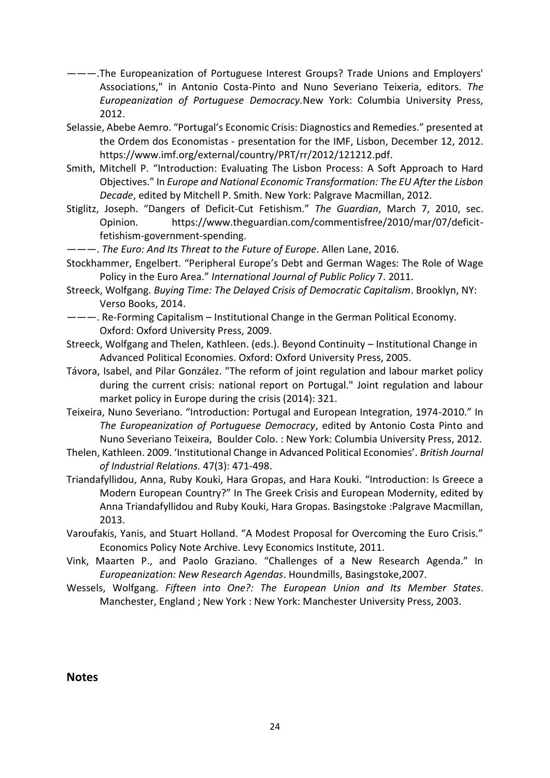- ———.The Europeanization of Portuguese Interest Groups? Trade Unions and Employers' Associations," in Antonio Costa-Pinto and Nuno Severiano Teixeria, editors. *The Europeanization of Portuguese Democracy.*New York: Columbia University Press, 2012.
- Selassie, Abebe Aemro. "Portugal's Economic Crisis: Diagnostics and Remedies." presented at the Ordem dos Economistas - presentation for the IMF, Lisbon, December 12, 2012. https://www.imf.org/external/country/PRT/rr/2012/121212.pdf.
- Smith, Mitchell P. "Introduction: Evaluating The Lisbon Process: A Soft Approach to Hard Objectives." In *Europe and National Economic Transformation: The EU After the Lisbon Decade*, edited by Mitchell P. Smith. New York: Palgrave Macmillan, 2012.
- Stiglitz, Joseph. "Dangers of Deficit-Cut Fetishism." *The Guardian*, March 7, 2010, sec. Opinion. https://www.theguardian.com/commentisfree/2010/mar/07/deficitfetishism-government-spending.
- ———. *The Euro: And Its Threat to the Future of Europe*. Allen Lane, 2016.
- Stockhammer, Engelbert. "Peripheral Europe's Debt and German Wages: The Role of Wage Policy in the Euro Area." *International Journal of Public Policy* 7. 2011.
- Streeck, Wolfgang. *Buying Time: The Delayed Crisis of Democratic Capitalism*. Brooklyn, NY: Verso Books, 2014.
- ———. Re-Forming Capitalism Institutional Change in the German Political Economy. Oxford: Oxford University Press, 2009.
- Streeck, Wolfgang and Thelen, Kathleen. (eds.). Beyond Continuity Institutional Change in Advanced Political Economies. Oxford: Oxford University Press, 2005.
- Távora, Isabel, and Pilar González. "The reform of joint regulation and labour market policy during the current crisis: national report on Portugal." Joint regulation and labour market policy in Europe during the crisis (2014): 321.
- Teixeira, Nuno Severiano. "Introduction: Portugal and European Integration, 1974-2010." In *The Europeanization of Portuguese Democracy*, edited by Antonio Costa Pinto and Nuno Severiano Teixeira, Boulder Colo. : New York: Columbia University Press, 2012.
- Thelen, Kathleen. 2009. 'Institutional Change in Advanced Political Economies'. *British Journal of Industrial Relations.* 47(3): 471-498.
- Triandafyllidou, Anna, Ruby Kouki, Hara Gropas, and Hara Kouki. "Introduction: Is Greece a Modern European Country?" In The Greek Crisis and European Modernity, edited by Anna Triandafyllidou and Ruby Kouki, Hara Gropas. Basingstoke :Palgrave Macmillan, 2013.
- Varoufakis, Yanis, and Stuart Holland. "A Modest Proposal for Overcoming the Euro Crisis." Economics Policy Note Archive. Levy Economics Institute, 2011.
- Vink, Maarten P., and Paolo Graziano. "Challenges of a New Research Agenda." In *Europeanization: New Research Agendas*. Houndmills, Basingstoke,2007.
- Wessels, Wolfgang. *Fifteen into One?: The European Union and Its Member States*. Manchester, England ; New York : New York: Manchester University Press, 2003.

**Notes**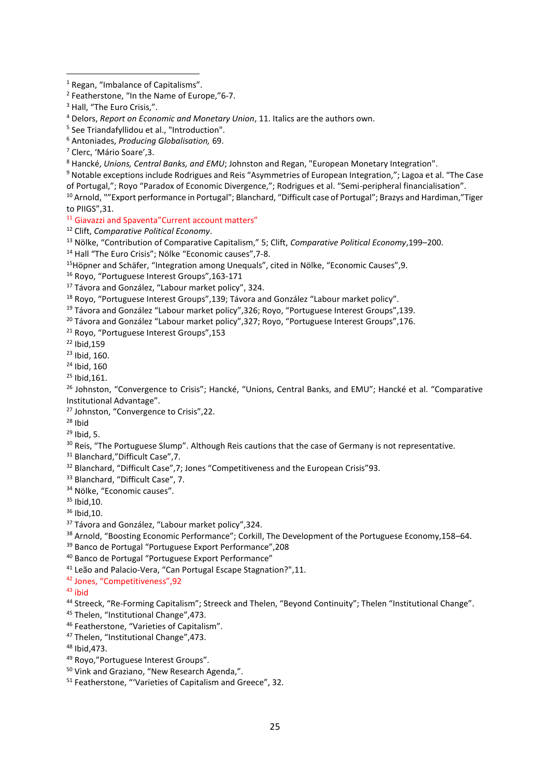Notable exceptions include Rodrigues and Reis "Asymmetries of European Integration,"; Lagoa et al. "The Case of Portugal,"; Royo "Paradox of Economic Divergence,"; Rodrigues et al. "Semi-peripheral financialisation".

<sup>10</sup> Arnold, ""Export performance in Portugal"; Blanchard, "Difficult case of Portugal"; Brazys and Hardiman,"Tiger to PIIGS",31.

<sup>11</sup> Giavazzi and Spaventa" Current account matters"

Clift, *Comparative Political Economy*.

Nölke, "Contribution of Comparative Capitalism," 5; Clift, *Comparative Political Economy*,199–200.

Hall "The Euro Crisis"; Nölke "Economic causes",7-8.

Höpner and Schäfer, "Integration among Unequals", cited in Nölke, "Economic Causes",9*.*

Royo, "Portuguese Interest Groups",163-171

<sup>17</sup> Távora and González, "Labour market policy", 324.

Royo, "Portuguese Interest Groups",139; Távora and González "Labour market policy".

Távora and González "Labour market policy",326; Royo, "Portuguese Interest Groups",139.

<sup>20</sup> Távora and González "Labour market policy", 327; Royo, "Portuguese Interest Groups", 176.

Royo, "Portuguese Interest Groups",153

Ibid,159

Ibid, 160.

- Ibid, 160
- Ibid,161.

<sup>26</sup> Johnston, "Convergence to Crisis"; Hancké, "Unions, Central Banks, and EMU"; Hancké et al. "Comparative Institutional Advantage".

Johnston, "Convergence to Crisis",22.

Ibid

Ibid, 5.

<sup>30</sup> Reis, "The Portuguese Slump". Although Reis cautions that the case of Germany is not representative.

<sup>31</sup> Blanchard,"Difficult Case", 7.

<sup>32</sup> Blanchard, "Difficult Case", 7; Jones "Competitiveness and the European Crisis" 93.

Blanchard, "Difficult Case", 7.

<sup>34</sup> Nölke, "Economic causes".

Ibid,10.

Ibid, 10.

<sup>37</sup> Távora and González, "Labour market policy", 324.

<sup>38</sup> Arnold, "Boosting Economic Performance"; Corkill, The Development of the Portuguese Economy, 158–64.

Banco de Portugal "Portuguese Export Performance",208

Banco de Portugal "Portuguese Export Performance"

Leão and Palacio-Vera, "Can Portugal Escape Stagnation?",11.

Jones, "Competitiveness",92

ibid

<sup>44</sup> Streeck, "Re-Forming Capitalism"; Streeck and Thelen, "Beyond Continuity"; Thelen "Institutional Change".

Thelen, "Institutional Change",473.

Featherstone, "Varieties of Capitalism".

Thelen, "Institutional Change",473.

Ibid,473.

Royo,"Portuguese Interest Groups".

Vink and Graziano, "New Research Agenda,".

Featherstone, "'Varieties of Capitalism and Greece", 32.

Regan, "Imbalance of Capitalisms".

<sup>&</sup>lt;sup>2</sup> Featherstone, "In the Name of Europe,"6-7.

<sup>&</sup>lt;sup>3</sup> Hall, "The Euro Crisis,".

Delors, *Report on Economic and Monetary Union*, 11. Italics are the authors own.

See Triandafyllidou et al., "Introduction".

Antoniades, *Producing Globalisation,* 69.

Clerc, 'Mário Soare',3.

Hancké, *Unions, Central Banks, and EMU*; Johnston and Regan, "European Monetary Integration".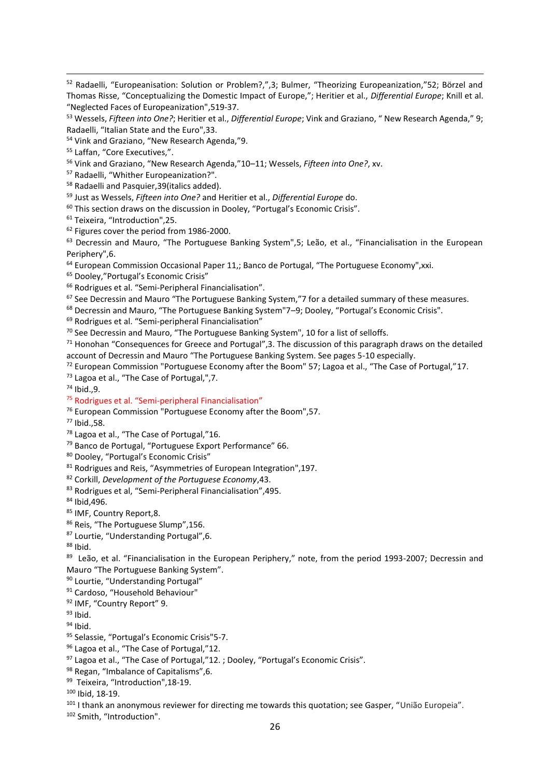Radaelli, "Whither Europeanization?".

Radaelli and Pasquier,39(italics added).

Just as Wessels, *Fifteen into One?* and Heritier et al., *Differential Europe* do.

This section draws on the discussion in Dooley, "Portugal's Economic Crisis".

Teixeira, "Introduction",25.

<sup>62</sup> Figures cover the period from 1986-2000.

 Decressin and Mauro, "The Portuguese Banking System",5; Leão, et al., "Financialisation in the European Periphery",6.

European Commission Occasional Paper 11,; Banco de Portugal, "The Portuguese Economy", xxi.

Dooley,"Portugal's Economic Crisis"

Rodrigues et al. "Semi-Peripheral Financialisation".

See Decressin and Mauro "The Portuguese Banking System,"7 for a detailed summary of these measures.

Decressin and Mauro, "The Portuguese Banking System"7–9; Dooley, "Portugal's Economic Crisis".

Rodrigues et al. "Semi-peripheral Financialisation"

<sup>70</sup> See Decressin and Mauro, "The Portuguese Banking System", 10 for a list of selloffs.

 Honohan "Consequences for Greece and Portugal", 3. The discussion of this paragraph draws on the detailed account of Decressin and Mauro "The Portuguese Banking System. See pages 5-10 especially.

European Commission "Portuguese Economy after the Boom" 57; Lagoa et al., "The Case of Portugal,"17.

Lagoa et al., "The Case of Portugal,",7.

Ibid.,9.

Rodrigues et al. "Semi-peripheral Financialisation"

European Commission "Portuguese Economy after the Boom",57.

Ibid.,58.

<sup>78</sup> Lagoa et al., "The Case of Portugal,"16.

Banco de Portugal, "Portuguese Export Performance" 66.

Dooley, "Portugal's Economic Crisis"

Rodrigues and Reis, "Asymmetries of European Integration",197.

Corkill, *Development of the Portuguese Economy*,43.

Rodrigues et al, "Semi-Peripheral Financialisation",495.

Ibid,496.

85 IMF, Country Report, 8.

86 Reis, "The Portuguese Slump", 156.

Lourtie, "Understanding Portugal",6.

Ibid.

<sup>89</sup> Leão, et al. "Financialisation in the European Periphery," note, from the period 1993-2007; Decressin and Mauro "The Portuguese Banking System".

Lourtie, "Understanding Portugal"

Cardoso, "Household Behaviour"

IMF, "Country Report" 9.

Ibid.

Ihid.

95 Selassie, "Portugal's Economic Crisis"5-7.

96 Lagoa et al., "The Case of Portugal,"12.

97 Lagoa et al., "The Case of Portugal,"12.; Dooley, "Portugal's Economic Crisis".

98 Regan, "Imbalance of Capitalisms", 6.

<sup>99</sup> Teixeira, "Introduction",18-19.

Ibid, 18-19.

<sup>101</sup> I thank an anonymous reviewer for directing me towards this quotation; see Gasper, "União Europeia".

Smith, "Introduction".

 Radaelli, "Europeanisation: Solution or Problem?,",3; Bulmer, "Theorizing Europeanization,"52; Börzel and Thomas Risse, "Conceptualizing the Domestic Impact of Europe,"; Heritier et al., *Differential Europe*; Knill et al. "Neglected Faces of Europeanization",519-37.

 Wessels, *Fifteen into One?*; Heritier et al., *Differential Europe*; Vink and Graziano, " New Research Agenda," 9; Radaelli, "Italian State and the Euro",33.

Vink and Graziano, "New Research Agenda,"9.

Laffan, "Core Executives,".

Vink and Graziano, "New Research Agenda,"10–11; Wessels, *Fifteen into One?*, xv.